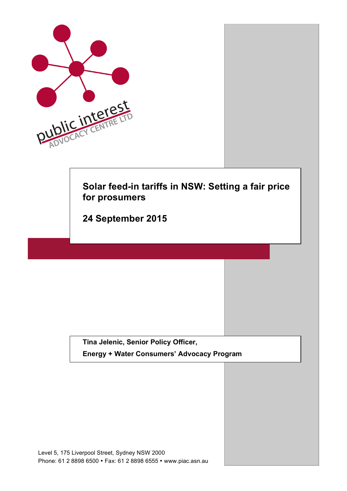

**Tina Jelenic, Senior Policy Officer,**

**Energy + Water Consumers' Advocacy Program**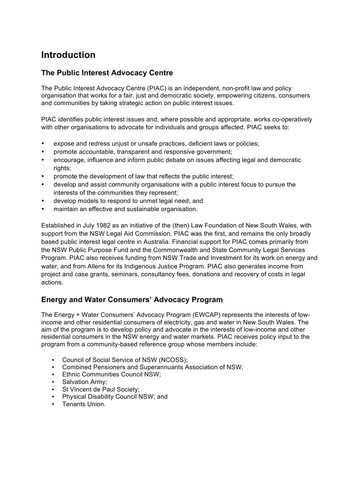# **Introduction**

### **The Public Interest Advocacy Centre**

The Public Interest Advocacy Centre (PIAC) is an independent, non-profit law and policy organisation that works for a fair, just and democratic society, empowering citizens, consumers and communities by taking strategic action on public interest issues.

PIAC identifies public interest issues and, where possible and appropriate, works co-operatively with other organisations to advocate for individuals and groups affected. PIAC seeks to:

- expose and redress unjust or unsafe practices, deficient laws or policies;
- promote accountable, transparent and responsive government;
- encourage, influence and inform public debate on issues affecting legal and democratic rights;
- promote the development of law that reflects the public interest;
- develop and assist community organisations with a public interest focus to pursue the interests of the communities they represent;
- develop models to respond to unmet legal need; and
- maintain an effective and sustainable organisation.

Established in July 1982 as an initiative of the (then) Law Foundation of New South Wales, with support from the NSW Legal Aid Commission, PIAC was the first, and remains the only broadly based public interest legal centre in Australia. Financial support for PIAC comes primarily from the NSW Public Purpose Fund and the Commonwealth and State Community Legal Services Program. PIAC also receives funding from NSW Trade and Investment for its work on energy and water, and from Allens for its Indigenous Justice Program. PIAC also generates income from project and case grants, seminars, consultancy fees, donations and recovery of costs in legal actions.

### **Energy and Water Consumers' Advocacy Program**

The Energy + Water Consumers' Advocacy Program (EWCAP) represents the interests of lowincome and other residential consumers of electricity, gas and water in New South Wales. The aim of the program is to develop policy and advocate in the interests of low-income and other residential consumers in the NSW energy and water markets. PIAC receives policy input to the program from a community-based reference group whose members include:

- Council of Social Service of NSW (NCOSS);
- Combined Pensioners and Superannuants Association of NSW;
- Ethnic Communities Council NSW;
- Salvation Army;
- St Vincent de Paul Society;
- Physical Disability Council NSW; and
- Tenants Union.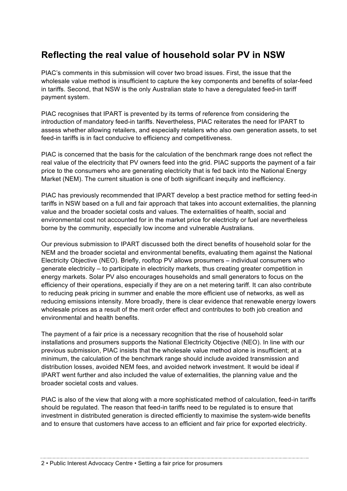# **Reflecting the real value of household solar PV in NSW**

PIAC's comments in this submission will cover two broad issues. First, the issue that the wholesale value method is insufficient to capture the key components and benefits of solar-feed in tariffs. Second, that NSW is the only Australian state to have a deregulated feed-in tariff payment system.

PIAC recognises that IPART is prevented by its terms of reference from considering the introduction of mandatory feed-in tariffs. Nevertheless, PIAC reiterates the need for IPART to assess whether allowing retailers, and especially retailers who also own generation assets, to set feed-in tariffs is in fact conducive to efficiency and competitiveness.

PIAC is concerned that the basis for the calculation of the benchmark range does not reflect the real value of the electricity that PV owners feed into the grid. PIAC supports the payment of a fair price to the consumers who are generating electricity that is fed back into the National Energy Market (NEM). The current situation is one of both significant inequity and inefficiency.

PIAC has previously recommended that IPART develop a best practice method for setting feed-in tariffs in NSW based on a full and fair approach that takes into account externalities, the planning value and the broader societal costs and values. The externalities of health, social and environmental cost not accounted for in the market price for electricity or fuel are nevertheless borne by the community, especially low income and vulnerable Australians.

Our previous submission to IPART discussed both the direct benefits of household solar for the NEM and the broader societal and environmental benefits, evaluating them against the National Electricity Objective (NEO). Briefly, rooftop PV allows prosumers – individual consumers who generate electricity – to participate in electricity markets, thus creating greater competition in energy markets. Solar PV also encourages households and small generators to focus on the efficiency of their operations, especially if they are on a net metering tariff. It can also contribute to reducing peak pricing in summer and enable the more efficient use of networks, as well as reducing emissions intensity. More broadly, there is clear evidence that renewable energy lowers wholesale prices as a result of the merit order effect and contributes to both job creation and environmental and health benefits.

The payment of a fair price is a necessary recognition that the rise of household solar installations and prosumers supports the National Electricity Objective (NEO). In line with our previous submission, PIAC insists that the wholesale value method alone is insufficient; at a minimum, the calculation of the benchmark range should include avoided transmission and distribution losses, avoided NEM fees, and avoided network investment. It would be ideal if IPART went further and also included the value of externalities, the planning value and the broader societal costs and values.

PIAC is also of the view that along with a more sophisticated method of calculation, feed-in tariffs should be regulated. The reason that feed-in tariffs need to be regulated is to ensure that investment in distributed generation is directed efficiently to maximise the system-wide benefits and to ensure that customers have access to an efficient and fair price for exported electricity.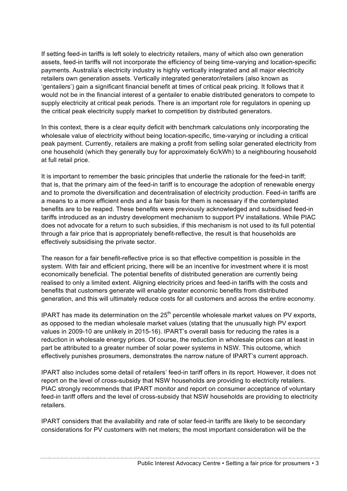If setting feed-in tariffs is left solely to electricity retailers, many of which also own generation assets, feed-in tariffs will not incorporate the efficiency of being time-varying and location-specific payments. Australia's electricity industry is highly vertically integrated and all major electricity retailers own generation assets. Vertically integrated generator/retailers (also known as 'gentailers') gain a significant financial benefit at times of critical peak pricing. It follows that it would not be in the financial interest of a gentailer to enable distributed generators to compete to supply electricity at critical peak periods. There is an important role for regulators in opening up the critical peak electricity supply market to competition by distributed generators.

In this context, there is a clear equity deficit with benchmark calculations only incorporating the wholesale value of electricity without being location-specific, time-varying or including a critical peak payment. Currently, retailers are making a profit from selling solar generated electricity from one household (which they generally buy for approximately 6c/kWh) to a neighbouring household at full retail price.

It is important to remember the basic principles that underlie the rationale for the feed-in tariff; that is, that the primary aim of the feed-in tariff is to encourage the adoption of renewable energy and to promote the diversification and decentralisation of electricity production. Feed-in tariffs are a means to a more efficient ends and a fair basis for them is necessary if the contemplated benefits are to be reaped. These benefits were previously acknowledged and subsidised feed-in tariffs introduced as an industry development mechanism to support PV installations. While PIAC does not advocate for a return to such subsidies, if this mechanism is not used to its full potential through a fair price that is appropriately benefit-reflective, the result is that households are effectively subsidising the private sector.

The reason for a fair benefit-reflective price is so that effective competition is possible in the system. With fair and efficient pricing, there will be an incentive for investment where it is most economically beneficial. The potential benefits of distributed generation are currently being realised to only a limited extent. Aligning electricity prices and feed-in tariffs with the costs and benefits that customers generate will enable greater economic benefits from distributed generation, and this will ultimately reduce costs for all customers and across the entire economy.

IPART has made its determination on the  $25<sup>th</sup>$  percentile wholesale market values on PV exports, as opposed to the median wholesale market values (stating that the unusually high PV export values in 2009-10 are unlikely in 2015-16). IPART's overall basis for reducing the rates is a reduction in wholesale energy prices. Of course, the reduction in wholesale prices can at least in part be attributed to a greater number of solar power systems in NSW. This outcome, which effectively punishes prosumers, demonstrates the narrow nature of IPART's current approach.

IPART also includes some detail of retailers' feed-in tariff offers in its report. However, it does not report on the level of cross-subsidy that NSW households are providing to electricity retailers. PIAC strongly recommends that IPART monitor and report on consumer acceptance of voluntary feed-in tariff offers and the level of cross-subsidy that NSW households are providing to electricity retailers.

IPART considers that the availability and rate of solar feed-in tariffs are likely to be secondary considerations for PV customers with net meters; the most important consideration will be the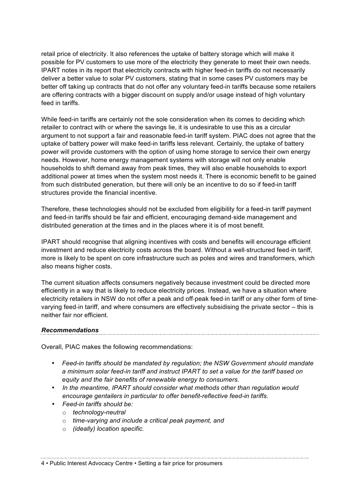retail price of electricity. It also references the uptake of battery storage which will make it possible for PV customers to use more of the electricity they generate to meet their own needs. IPART notes in its report that electricity contracts with higher feed-in tariffs do not necessarily deliver a better value to solar PV customers, stating that in some cases PV customers may be better off taking up contracts that do not offer any voluntary feed-in tariffs because some retailers are offering contracts with a bigger discount on supply and/or usage instead of high voluntary feed in tariffs.

While feed-in tariffs are certainly not the sole consideration when its comes to deciding which retailer to contract with or where the savings lie, it is undesirable to use this as a circular argument to not support a fair and reasonable feed-in tariff system. PIAC does not agree that the uptake of battery power will make feed-in tariffs less relevant. Certainly, the uptake of battery power will provide customers with the option of using home storage to service their own energy needs. However, home energy management systems with storage will not only enable households to shift demand away from peak times, they will also enable households to export additional power at times when the system most needs it. There is economic benefit to be gained from such distributed generation, but there will only be an incentive to do so if feed-in tariff structures provide the financial incentive.

Therefore, these technologies should not be excluded from eligibility for a feed-in tariff payment and feed-in tariffs should be fair and efficient, encouraging demand‐side management and distributed generation at the times and in the places where it is of most benefit.

IPART should recognise that aligning incentives with costs and benefits will encourage efficient investment and reduce electricity costs across the board. Without a well-structured feed-in tariff, more is likely to be spent on core infrastructure such as poles and wires and transformers, which also means higher costs.

The current situation affects consumers negatively because investment could be directed more efficiently in a way that is likely to reduce electricity prices. Instead, we have a situation where electricity retailers in NSW do not offer a peak and off-peak feed-in tariff or any other form of timevarying feed-in tariff, and where consumers are effectively subsidising the private sector – this is neither fair nor efficient.

#### *Recommendations*

Overall, PIAC makes the following recommendations:

- *Feed-in tariffs should be mandated by regulation; the NSW Government should mandate a minimum solar feed-in tariff and instruct IPART to set a value for the tariff based on equity and the fair benefits of renewable energy to consumers.*
- *In the meantime, IPART should consider what methods other than regulation would encourage gentailers in particular to offer benefit-reflective feed-in tariffs.*

- *Feed-in tariffs should be:* 
	- o *technology-neutral*
	- o *time-varying and include a critical peak payment, and*
	- o *(ideally) location specific.*